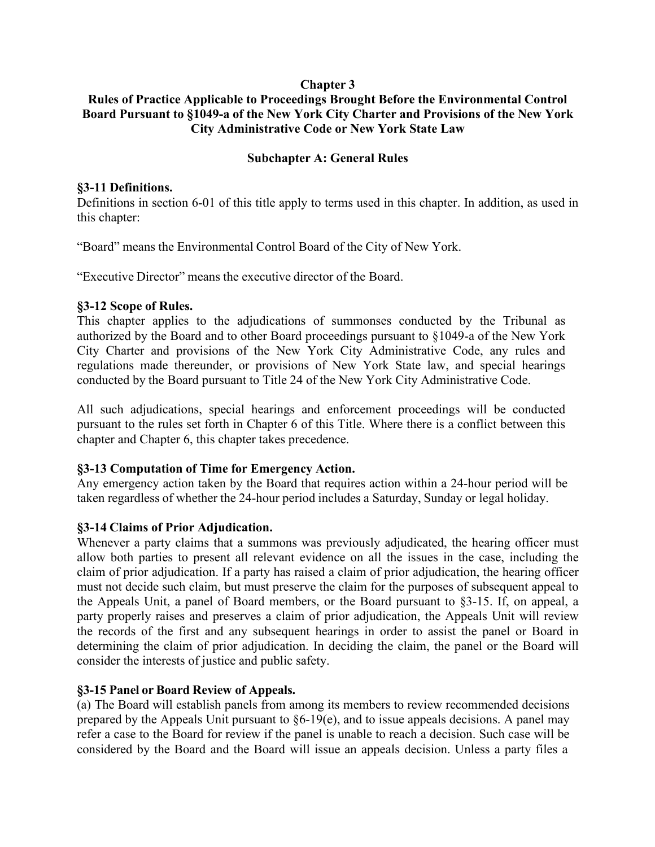#### **Chapter 3**

### **Rules of Practice Applicable to Proceedings Brought Before the Environmental Control Board Pursuant to §1049-a of the New York City Charter and Provisions of the New York City Administrative Code or New York State Law**

#### **Subchapter A: General Rules**

#### **§3-11 Definitions.**

Definitions in section 6-01 of this title apply to terms used in this chapter. In addition, as used in this chapter:

"Board" means the Environmental Control Board of the City of New York.

"Executive Director" means the executive director of the Board.

#### **§3-12 Scope of Rules.**

This chapter applies to the adjudications of summonses conducted by the Tribunal as authorized by the Board and to other Board proceedings pursuant to §1049-a of the New York City Charter and provisions of the New York City Administrative Code, any rules and regulations made thereunder, or provisions of New York State law, and special hearings conducted by the Board pursuant to Title 24 of the New York City Administrative Code.

All such adjudications, special hearings and enforcement proceedings will be conducted pursuant to the rules set forth in Chapter 6 of this Title. Where there is a conflict between this chapter and Chapter 6, this chapter takes precedence.

# **§3-13 Computation of Time for Emergency Action.**

Any emergency action taken by the Board that requires action within a 24-hour period will be taken regardless of whether the 24-hour period includes a Saturday, Sunday or legal holiday.

# **§3-14 Claims of Prior Adjudication.**

Whenever a party claims that a summons was previously adjudicated, the hearing officer must allow both parties to present all relevant evidence on all the issues in the case, including the claim of prior adjudication. If a party has raised a claim of prior adjudication, the hearing officer must not decide such claim, but must preserve the claim for the purposes of subsequent appeal to the Appeals Unit, a panel of Board members, or the Board pursuant to §3-15. If, on appeal, a party properly raises and preserves a claim of prior adjudication, the Appeals Unit will review the records of the first and any subsequent hearings in order to assist the panel or Board in determining the claim of prior adjudication. In deciding the claim, the panel or the Board will consider the interests of justice and public safety.

# **§3-15 Panel or Board Review of Appeals.**

(a) The Board will establish panels from among its members to review recommended decisions prepared by the Appeals Unit pursuant to §6-19(e), and to issue appeals decisions. A panel may refer a case to the Board for review if the panel is unable to reach a decision. Such case will be considered by the Board and the Board will issue an appeals decision. Unless a party files a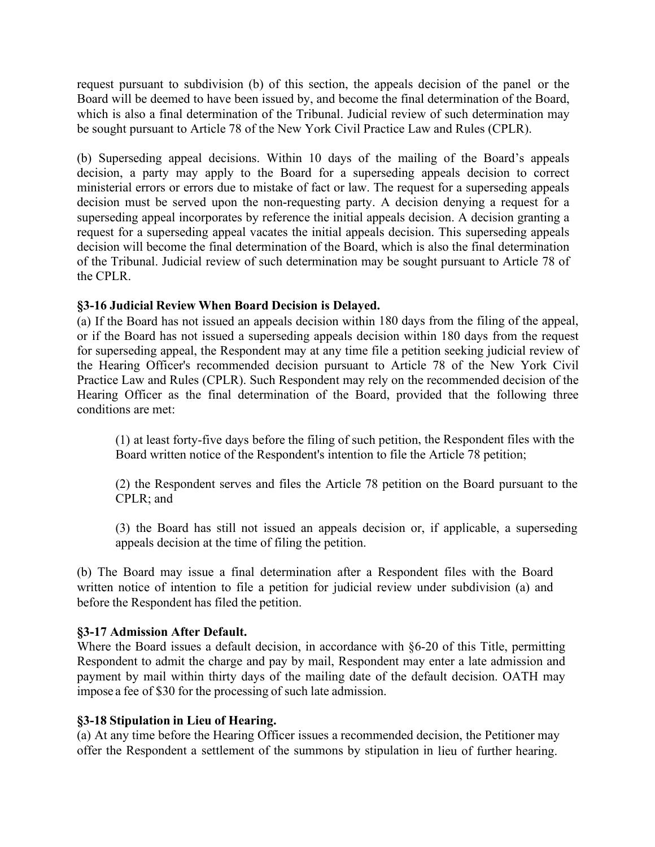request pursuant to subdivision (b) of this section, the appeals decision of the panel or the Board will be deemed to have been issued by, and become the final determination of the Board, which is also a final determination of the Tribunal. Judicial review of such determination may be sought pursuant to Article 78 of the New York Civil Practice Law and Rules (CPLR).

(b) Superseding appeal decisions. Within 10 days of the mailing of the Board's appeals decision, a party may apply to the Board for a superseding appeals decision to correct ministerial errors or errors due to mistake of fact or law. The request for a superseding appeals decision must be served upon the non-requesting party. A decision denying a request for a superseding appeal incorporates by reference the initial appeals decision. A decision granting a request for a superseding appeal vacates the initial appeals decision. This superseding appeals decision will become the final determination of the Board, which is also the final determination of the Tribunal. Judicial review of such determination may be sought pursuant to Article 78 of the CPLR.

#### **§3-16 Judicial Review When Board Decision is Delayed.**

(a) If the Board has not issued an appeals decision within 180 days from the filing of the appeal, or if the Board has not issued a superseding appeals decision within 180 days from the request for superseding appeal, the Respondent may at any time file a petition seeking judicial review of the Hearing Officer's recommended decision pursuant to Article 78 of the New York Civil Practice Law and Rules (CPLR). Such Respondent may rely on the recommended decision of the Hearing Officer as the final determination of the Board, provided that the following three conditions are met:

(1) at least forty-five days before the filing of such petition, the Respondent files with the Board written notice of the Respondent's intention to file the Article 78 petition;

(2) the Respondent serves and files the Article 78 petition on the Board pursuant to the CPLR; and

(3) the Board has still not issued an appeals decision or, if applicable, a superseding appeals decision at the time of filing the petition.

(b) The Board may issue a final determination after a Respondent files with the Board written notice of intention to file a petition for judicial review under subdivision (a) and before the Respondent has filed the petition.

# **§3-17 Admission After Default.**

Where the Board issues a default decision, in accordance with §6-20 of this Title, permitting Respondent to admit the charge and pay by mail, Respondent may enter a late admission and payment by mail within thirty days of the mailing date of the default decision. OATH may impose a fee of \$30 for the processing of such late admission.

#### **§3-18 Stipulation in Lieu of Hearing.**

(a) At any time before the Hearing Officer issues a recommended decision, the Petitioner may offer the Respondent a settlement of the summons by stipulation in lieu of further hearing.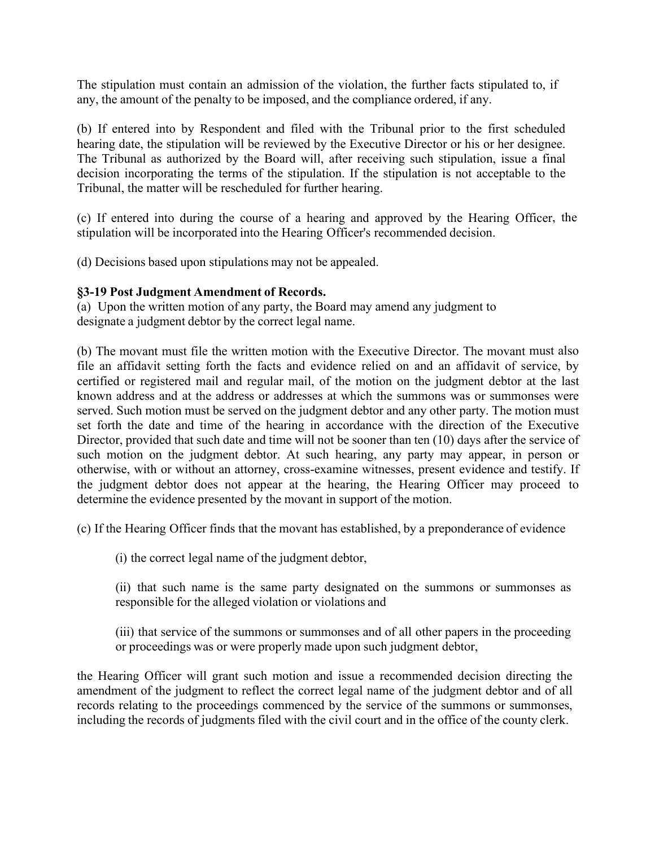The stipulation must contain an admission of the violation, the further facts stipulated to, if any, the amount of the penalty to be imposed, and the compliance ordered, if any.

(b) If entered into by Respondent and filed with the Tribunal prior to the first scheduled hearing date, the stipulation will be reviewed by the Executive Director or his or her designee. The Tribunal as authorized by the Board will, after receiving such stipulation, issue a final decision incorporating the terms of the stipulation. If the stipulation is not acceptable to the Tribunal, the matter will be rescheduled for further hearing.

(c) If entered into during the course of a hearing and approved by the Hearing Officer, the stipulation will be incorporated into the Hearing Officer's recommended decision.

(d) Decisions based upon stipulations may not be appealed.

#### **§3-19 Post Judgment Amendment of Records.**

(a) Upon the written motion of any party, the Board may amend any judgment to designate a judgment debtor by the correct legal name.

(b) The movant must file the written motion with the Executive Director. The movant must also file an affidavit setting forth the facts and evidence relied on and an affidavit of service, by certified or registered mail and regular mail, of the motion on the judgment debtor at the last known address and at the address or addresses at which the summons was or summonses were served. Such motion must be served on the judgment debtor and any other party. The motion must set forth the date and time of the hearing in accordance with the direction of the Executive Director, provided that such date and time will not be sooner than ten (10) days after the service of such motion on the judgment debtor. At such hearing, any party may appear, in person or otherwise, with or without an attorney, cross-examine witnesses, present evidence and testify. If the judgment debtor does not appear at the hearing, the Hearing Officer may proceed to determine the evidence presented by the movant in support of the motion.

(c) If the Hearing Officer finds that the movant has established, by a preponderance of evidence

(i) the correct legal name of the judgment debtor,

(ii) that such name is the same party designated on the summons or summonses as responsible for the alleged violation or violations and

(iii) that service of the summons or summonses and of all other papers in the proceeding or proceedings was or were properly made upon such judgment debtor,

the Hearing Officer will grant such motion and issue a recommended decision directing the amendment of the judgment to reflect the correct legal name of the judgment debtor and of all records relating to the proceedings commenced by the service of the summons or summonses, including the records of judgments filed with the civil court and in the office of the county clerk.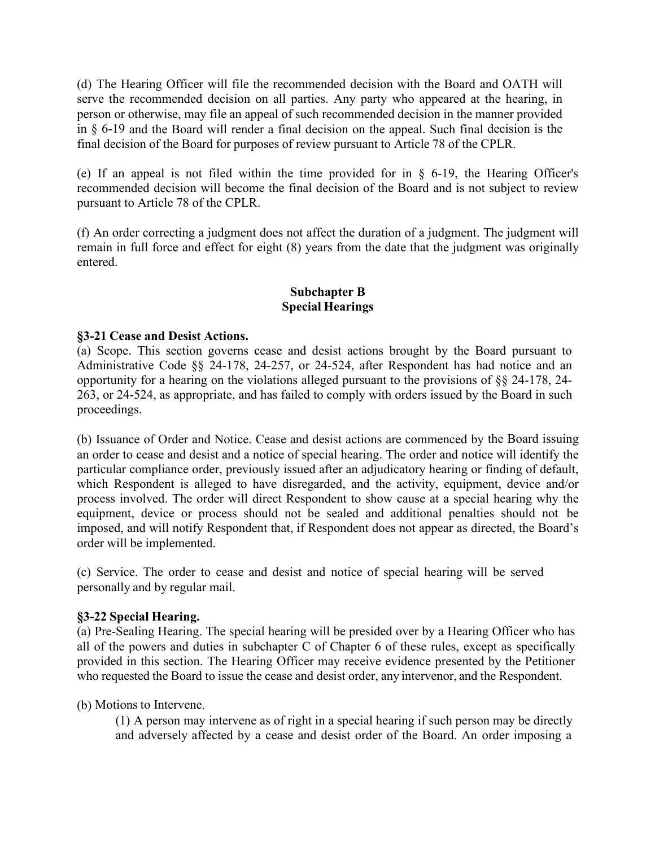(d) The Hearing Officer will file the recommended decision with the Board and OATH will serve the recommended decision on all parties. Any party who appeared at the hearing, in person or otherwise, may file an appeal of such recommended decision in the manner provided in § 6-19 and the Board will render a final decision on the appeal. Such final decision is the final decision of the Board for purposes of review pursuant to Article 78 of the CPLR.

(e) If an appeal is not filed within the time provided for in § 6-19, the Hearing Officer's recommended decision will become the final decision of the Board and is not subject to review pursuant to Article 78 of the CPLR.

(f) An order correcting a judgment does not affect the duration of a judgment. The judgment will remain in full force and effect for eight (8) years from the date that the judgment was originally entered.

# **Subchapter B Special Hearings**

#### **§3-21 Cease and Desist Actions.**

(a) Scope. This section governs cease and desist actions brought by the Board pursuant to Administrative Code §§ 24-178, 24-257, or 24-524, after Respondent has had notice and an opportunity for a hearing on the violations alleged pursuant to the provisions of §§ 24-178, 24- 263, or 24-524, as appropriate, and has failed to comply with orders issued by the Board in such proceedings.

(b) Issuance of Order and Notice. Cease and desist actions are commenced by the Board issuing an order to cease and desist and a notice of special hearing. The order and notice will identify the particular compliance order, previously issued after an adjudicatory hearing or finding of default, which Respondent is alleged to have disregarded, and the activity, equipment, device and/or process involved. The order will direct Respondent to show cause at a special hearing why the equipment, device or process should not be sealed and additional penalties should not be imposed, and will notify Respondent that, if Respondent does not appear as directed, the Board's order will be implemented.

(c) Service. The order to cease and desist and notice of special hearing will be served personally and by regular mail.

# **§3-22 Special Hearing.**

(a) Pre-Sealing Hearing. The special hearing will be presided over by a Hearing Officer who has all of the powers and duties in subchapter C of Chapter 6 of these rules, except as specifically provided in this section. The Hearing Officer may receive evidence presented by the Petitioner who requested the Board to issue the cease and desist order, any intervenor, and the Respondent.

(b) Motions to Intervene.

(1) A person may intervene as of right in a special hearing if such person may be directly and adversely affected by a cease and desist order of the Board. An order imposing a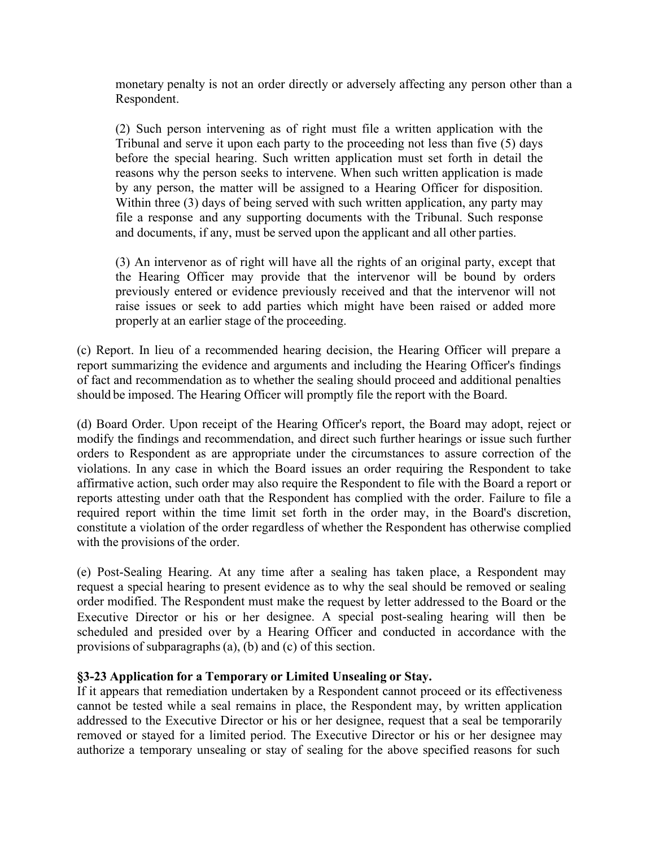monetary penalty is not an order directly or adversely affecting any person other than a Respondent.

(2) Such person intervening as of right must file a written application with the Tribunal and serve it upon each party to the proceeding not less than five (5) days before the special hearing. Such written application must set forth in detail the reasons why the person seeks to intervene. When such written application is made by any person, the matter will be assigned to a Hearing Officer for disposition. Within three (3) days of being served with such written application, any party may file a response and any supporting documents with the Tribunal. Such response and documents, if any, must be served upon the applicant and all other parties.

(3) An intervenor as of right will have all the rights of an original party, except that the Hearing Officer may provide that the intervenor will be bound by orders previously entered or evidence previously received and that the intervenor will not raise issues or seek to add parties which might have been raised or added more properly at an earlier stage of the proceeding.

(c) Report. In lieu of a recommended hearing decision, the Hearing Officer will prepare a report summarizing the evidence and arguments and including the Hearing Officer's findings of fact and recommendation as to whether the sealing should proceed and additional penalties should be imposed. The Hearing Officer will promptly file the report with the Board.

(d) Board Order. Upon receipt of the Hearing Officer's report, the Board may adopt, reject or modify the findings and recommendation, and direct such further hearings or issue such further orders to Respondent as are appropriate under the circumstances to assure correction of the violations. In any case in which the Board issues an order requiring the Respondent to take affirmative action, such order may also require the Respondent to file with the Board a report or reports attesting under oath that the Respondent has complied with the order. Failure to file a required report within the time limit set forth in the order may, in the Board's discretion, constitute a violation of the order regardless of whether the Respondent has otherwise complied with the provisions of the order.

(e) Post-Sealing Hearing. At any time after a sealing has taken place, a Respondent may request a special hearing to present evidence as to why the seal should be removed or sealing order modified. The Respondent must make the request by letter addressed to the Board or the Executive Director or his or her designee. A special post-sealing hearing will then be scheduled and presided over by a Hearing Officer and conducted in accordance with the provisions of subparagraphs(a), (b) and (c) of this section.

# **§3-23 Application for a Temporary or Limited Unsealing or Stay.**

If it appears that remediation undertaken by a Respondent cannot proceed or its effectiveness cannot be tested while a seal remains in place, the Respondent may, by written application addressed to the Executive Director or his or her designee, request that a seal be temporarily removed or stayed for a limited period. The Executive Director or his or her designee may authorize a temporary unsealing or stay of sealing for the above specified reasons for such